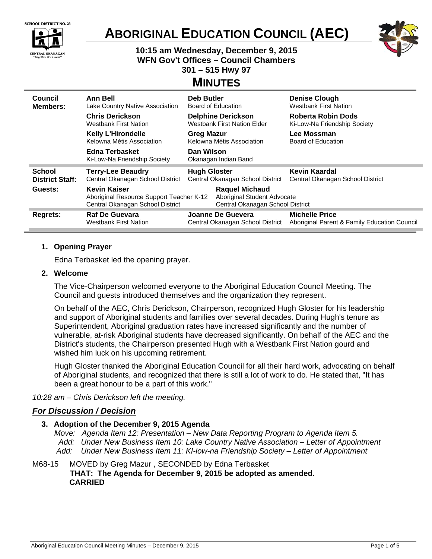|  | <b>SCHOOL DISTRICT NO. 23</b> |  |
|--|-------------------------------|--|
|  |                               |  |



# **ABORIGINAL EDUCATION COUNCIL (AEC)**



# **10:15 am Wednesday, December 9, 2015 WFN Gov't Offices – Council Chambers 301 – 515 Hwy 97**

# **MINUTES**

| Council<br><b>Members:</b> | Ann Bell<br>Lake Country Native Association                                                              | <b>Deb Butler</b><br>Board of Education                                                  | <b>Denise Clough</b><br><b>Westbank First Nation</b>                  |  |
|----------------------------|----------------------------------------------------------------------------------------------------------|------------------------------------------------------------------------------------------|-----------------------------------------------------------------------|--|
|                            | <b>Chris Derickson</b><br><b>Westbank First Nation</b>                                                   | <b>Delphine Derickson</b><br><b>Westbank First Nation Elder</b>                          | Roberta Robin Dods<br>Ki-Low-Na Friendship Society                    |  |
|                            | <b>Kelly L'Hirondelle</b><br><b>Greg Mazur</b><br>Kelowna Métis Association<br>Kelowna Métis Association |                                                                                          | Lee Mossman<br>Board of Education                                     |  |
|                            | <b>Edna Terbasket</b><br>Ki-Low-Na Friendship Society                                                    | Dan Wilson<br>Okanagan Indian Band                                                       |                                                                       |  |
| <b>School</b>              | <b>Terry-Lee Beaudry</b>                                                                                 | <b>Hugh Gloster</b>                                                                      | Kevin Kaardal                                                         |  |
| <b>District Staff:</b>     | Central Okanagan School District                                                                         | Central Okanagan School District                                                         | Central Okanagan School District                                      |  |
| Guests:                    | <b>Kevin Kaiser</b><br>Aboriginal Resource Support Teacher K-12<br>Central Okanagan School District      | <b>Raquel Michaud</b><br>Aboriginal Student Advocate<br>Central Okanagan School District |                                                                       |  |
| Regrets:                   | <b>Raf De Guevara</b><br><b>Westbank First Nation</b>                                                    | Joanne De Guevera<br>Central Okanagan School District                                    | <b>Michelle Price</b><br>Aboriginal Parent & Family Education Council |  |

# **1. Opening Prayer**

Edna Terbasket led the opening prayer.

# **2. Welcome**

The Vice-Chairperson welcomed everyone to the Aboriginal Education Council Meeting. The Council and guests introduced themselves and the organization they represent.

On behalf of the AEC, Chris Derickson, Chairperson, recognized Hugh Gloster for his leadership and support of Aboriginal students and families over several decades. During Hugh's tenure as Superintendent, Aboriginal graduation rates have increased significantly and the number of vulnerable, at-risk Aboriginal students have decreased significantly. On behalf of the AEC and the District's students, the Chairperson presented Hugh with a Westbank First Nation gourd and wished him luck on his upcoming retirement.

Hugh Gloster thanked the Aboriginal Education Council for all their hard work, advocating on behalf of Aboriginal students, and recognized that there is still a lot of work to do. He stated that, "It has been a great honour to be a part of this work."

*10:28 am – Chris Derickson left the meeting.* 

# *For Discussion / Decision*

# **3. Adoption of the December 9, 2015 Agenda**

*Move: Agenda Item 12: Presentation – New Data Reporting Program to Agenda Item 5. Add: Under New Business Item 10: Lake Country Native Association – Letter of Appointment Add: Under New Business Item 11: KI-low-na Friendship Society – Letter of Appointment* 

#### M68-15 MOVED by Greg Mazur , SECONDED by Edna Terbasket **THAT: The Agenda for December 9, 2015 be adopted as amended.**

**CARRIED**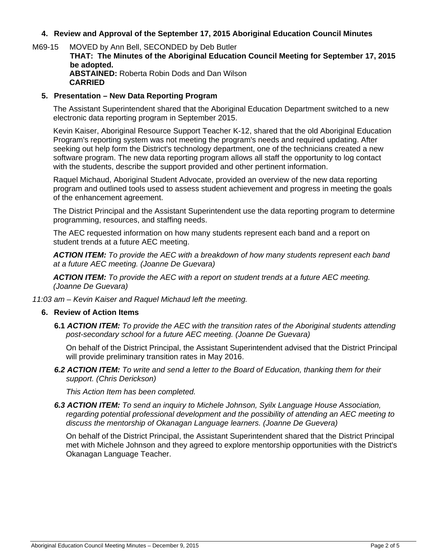# **4. Review and Approval of the September 17, 2015 Aboriginal Education Council Minutes**

M69-15 MOVED by Ann Bell, SECONDED by Deb Butler **THAT: The Minutes of the Aboriginal Education Council Meeting for September 17, 2015 be adopted. ABSTAINED:** Roberta Robin Dods and Dan Wilson **CARRIED** 

#### **5. Presentation – New Data Reporting Program**

The Assistant Superintendent shared that the Aboriginal Education Department switched to a new electronic data reporting program in September 2015.

Kevin Kaiser, Aboriginal Resource Support Teacher K-12, shared that the old Aboriginal Education Program's reporting system was not meeting the program's needs and required updating. After seeking out help form the District's technology department, one of the technicians created a new software program. The new data reporting program allows all staff the opportunity to log contact with the students, describe the support provided and other pertinent information.

Raquel Michaud, Aboriginal Student Advocate, provided an overview of the new data reporting program and outlined tools used to assess student achievement and progress in meeting the goals of the enhancement agreement.

The District Principal and the Assistant Superintendent use the data reporting program to determine programming, resources, and staffing needs.

The AEC requested information on how many students represent each band and a report on student trends at a future AEC meeting.

*ACTION ITEM: To provide the AEC with a breakdown of how many students represent each band at a future AEC meeting. (Joanne De Guevara)* 

*ACTION ITEM: To provide the AEC with a report on student trends at a future AEC meeting. (Joanne De Guevara)* 

*11:03 am – Kevin Kaiser and Raquel Michaud left the meeting.*

#### **6. Review of Action Items**

**6.1** *ACTION ITEM: To provide the AEC with the transition rates of the Aboriginal students attending post-secondary school for a future AEC meeting. (Joanne De Guevara)*

On behalf of the District Principal, the Assistant Superintendent advised that the District Principal will provide preliminary transition rates in May 2016.

*6.2 ACTION ITEM: To write and send a letter to the Board of Education, thanking them for their support. (Chris Derickson)* 

*This Action Item has been completed.* 

*6.3 ACTION ITEM: To send an inquiry to Michele Johnson, Syilx Language House Association, regarding potential professional development and the possibility of attending an AEC meeting to discuss the mentorship of Okanagan Language learners. (Joanne De Guevera)* 

On behalf of the District Principal, the Assistant Superintendent shared that the District Principal met with Michele Johnson and they agreed to explore mentorship opportunities with the District's Okanagan Language Teacher.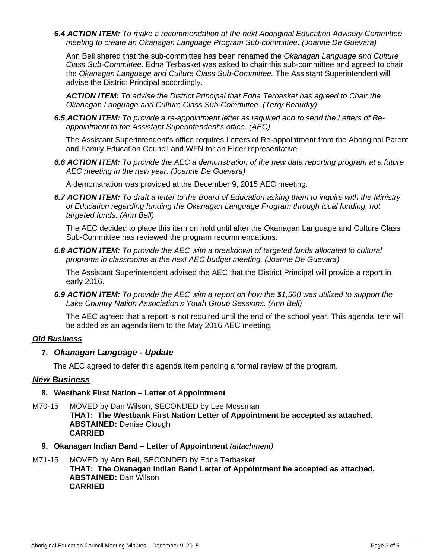*6.4 ACTION ITEM: To make a recommendation at the next Aboriginal Education Advisory Committee meeting to create an Okanagan Language Program Sub-committee. (Joanne De Guevara)* 

Ann Bell shared that the sub-committee has been renamed the *Okanagan Language and Culture Class Sub-Committee.* Edna Terbasket was asked to chair this sub-committee and agreed to chair the *Okanagan Language and Culture Class Sub-Committee.* The Assistant Superintendent will advise the District Principal accordingly.

*ACTION ITEM: To advise the District Principal that Edna Terbasket has agreed to Chair the Okanagan Language and Culture Class Sub-Committee. (Terry Beaudry)* 

*6.5 ACTION ITEM: To provide a re-appointment letter as required and to send the Letters of Reappointment to the Assistant Superintendent's office. (AEC)* 

The Assistant Superintendent's office requires Letters of Re-appointment from the Aboriginal Parent and Family Education Council and WFN for an Elder representative.

*6.6 ACTION ITEM: To provide the AEC a demonstration of the new data reporting program at a future AEC meeting in the new year. (Joanne De Guevara)* 

A demonstration was provided at the December 9, 2015 AEC meeting.

*6.7 ACTION ITEM: To draft a letter to the Board of Education asking them to inquire with the Ministry of Education regarding funding the Okanagan Language Program through local funding, not targeted funds. (Ann Bell)* 

The AEC decided to place this item on hold until after the Okanagan Language and Culture Class Sub-Committee has reviewed the program recommendations.

*6.8 ACTION ITEM: To provide the AEC with a breakdown of targeted funds allocated to cultural programs in classrooms at the next AEC budget meeting. (Joanne De Guevara)* 

The Assistant Superintendent advised the AEC that the District Principal will provide a report in early 2016.

*6.9 ACTION ITEM: To provide the AEC with a report on how the \$1,500 was utilized to support the Lake Country Nation Association's Youth Group Sessions. (Ann Bell)*

The AEC agreed that a report is not required until the end of the school year. This agenda item will be added as an agenda item to the May 2016 AEC meeting.

#### *Old Business*

# **7.** *Okanagan Language - Update*

The AEC agreed to defer this agenda item pending a formal review of the program.

# *New Business*

# **8. Westbank First Nation – Letter of Appointment**

- M70-15 MOVED by Dan Wilson, SECONDED by Lee Mossman **THAT: The Westbank First Nation Letter of Appointment be accepted as attached. ABSTAINED:** Denise Clough **CARRIED** 
	- **9. Okanagan Indian Band Letter of Appointment** *(attachment)*
- M71-15 MOVED by Ann Bell, SECONDED by Edna Terbasket **THAT: The Okanagan Indian Band Letter of Appointment be accepted as attached. ABSTAINED:** Dan Wilson **CARRIED**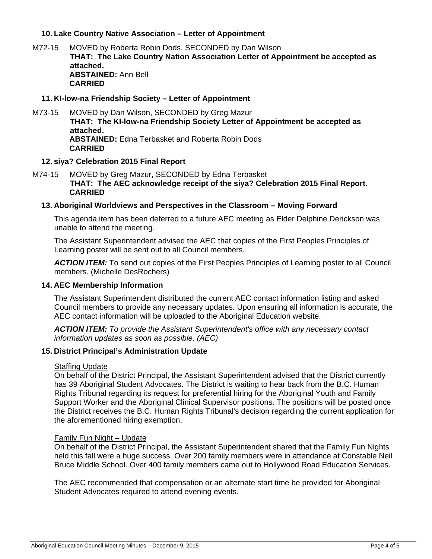# **10. Lake Country Native Association – Letter of Appointment**

M72-15 MOVED by Roberta Robin Dods, SECONDED by Dan Wilson **THAT: The Lake Country Nation Association Letter of Appointment be accepted as attached. ABSTAINED:** Ann Bell **CARRIED** 

#### **11. KI-low-na Friendship Society – Letter of Appointment**

M73-15 MOVED by Dan Wilson, SECONDED by Greg Mazur **THAT: The KI-low-na Friendship Society Letter of Appointment be accepted as attached. ABSTAINED:** Edna Terbasket and Roberta Robin Dods **CARRIED** 

#### **12. siya? Celebration 2015 Final Report**

M74-15 MOVED by Greg Mazur, SECONDED by Edna Terbasket **THAT: The AEC acknowledge receipt of the siya? Celebration 2015 Final Report. CARRIED** 

#### **13. Aboriginal Worldviews and Perspectives in the Classroom – Moving Forward**

This agenda item has been deferred to a future AEC meeting as Elder Delphine Derickson was unable to attend the meeting.

The Assistant Superintendent advised the AEC that copies of the First Peoples Principles of Learning poster will be sent out to all Council members.

*ACTION ITEM:* To send out copies of the First Peoples Principles of Learning poster to all Council members. (Michelle DesRochers)

#### **14. AEC Membership Information**

The Assistant Superintendent distributed the current AEC contact information listing and asked Council members to provide any necessary updates. Upon ensuring all information is accurate, the AEC contact information will be uploaded to the Aboriginal Education website.

*ACTION ITEM: To provide the Assistant Superintendent's office with any necessary contact information updates as soon as possible. (AEC)* 

#### **15. District Principal's Administration Update**

#### Staffing Update

On behalf of the District Principal, the Assistant Superintendent advised that the District currently has 39 Aboriginal Student Advocates. The District is waiting to hear back from the B.C. Human Rights Tribunal regarding its request for preferential hiring for the Aboriginal Youth and Family Support Worker and the Aboriginal Clinical Supervisor positions. The positions will be posted once the District receives the B.C. Human Rights Tribunal's decision regarding the current application for the aforementioned hiring exemption.

#### Family Fun Night – Update

On behalf of the District Principal, the Assistant Superintendent shared that the Family Fun Nights held this fall were a huge success. Over 200 family members were in attendance at Constable Neil Bruce Middle School. Over 400 family members came out to Hollywood Road Education Services.

The AEC recommended that compensation or an alternate start time be provided for Aboriginal Student Advocates required to attend evening events.